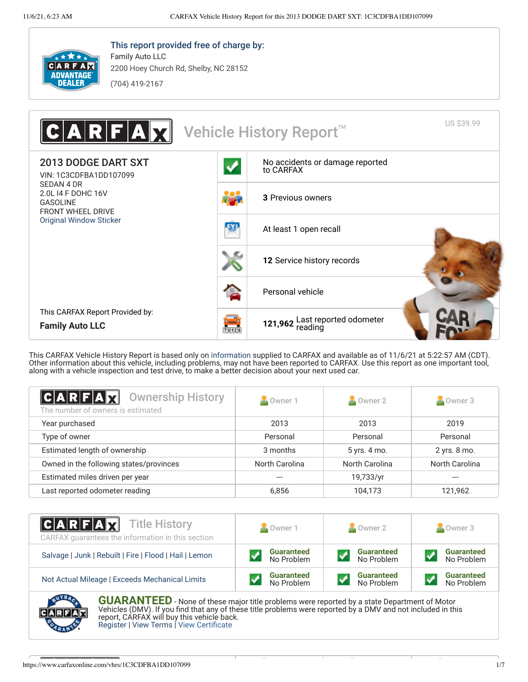

This report provided free of charge by:

2200 Hoey Church Rd, Shelby, NC 28152

(704) 419-2167

Family Auto LLC



This CARFAX Vehicle History Report is based only on [information](http://www.carfax.com/company/vhr-data-sources) supplied to CARFAX and available as of 11/6/21 at 5:22:57 AM (CDT). Other information about this vehicle, including problems, may not have been reported to CARFAX. Use this report as one important tool, along with a vehicle inspection and test drive, to make a better decision about your next used car.

<span id="page-0-1"></span>

| $ C A R F A \vec{X}$<br><b>Ownership History</b><br>The number of owners is estimated | Owner 1        | Owner 2        | Owner 3        |
|---------------------------------------------------------------------------------------|----------------|----------------|----------------|
| Year purchased                                                                        | 2013           | 2013           | 2019           |
| Type of owner                                                                         | Personal       | Personal       | Personal       |
| Estimated length of ownership                                                         | 3 months       | 5 yrs. 4 mo.   | 2 yrs. 8 mo.   |
| Owned in the following states/provinces                                               | North Carolina | North Carolina | North Carolina |
| Estimated miles driven per year                                                       |                | 19,733/yr      |                |
| Last reported odometer reading                                                        | 6,856          | 104,173        | 121,962        |

| <b>CARFAX</b> Title History<br>CARFAX quarantees the information in this section | Owner 1           | Owner 2           | Owner 3           |
|----------------------------------------------------------------------------------|-------------------|-------------------|-------------------|
| Salvage   Junk   Rebuilt   Fire   Flood   Hail   Lemon                           | <b>Guaranteed</b> | <b>Guaranteed</b> | <b>Guaranteed</b> |
|                                                                                  | No Problem        | No Problem        | No Problem        |
| Not Actual Mileage   Exceeds Mechanical Limits                                   | <b>Guaranteed</b> | <b>Guaranteed</b> | <b>Guaranteed</b> |
|                                                                                  | No Problem        | No Problem        | No Problem        |
| <b>AVERAL</b><br><b>AULARANITER</b>                                              |                   |                   |                   |

<span id="page-0-0"></span>**GUARANTEED** - None of these major title problems were reported by a state Department of Motor Vehicles (DMV). If you find that any of these title problems were reported by a DMV and not included in this report, CARFAX will buy this vehicle back. [Register](https://www.carfax.com/Service/bbg) | [View Terms](http://www.carfaxonline.com/legal/bbgTerms) | [View Certificate](https://www.carfaxonline.com/vhrs/1C3CDFBA1DD107099)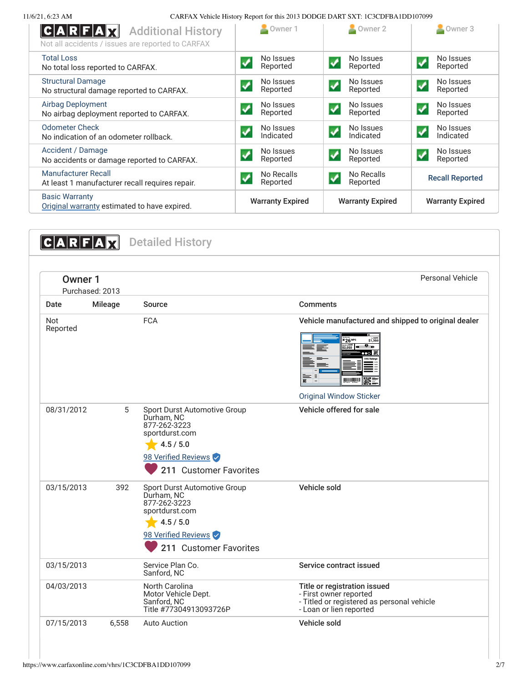11/6/21, 6:23 AM CARFAX Vehicle History Report for this 2013 DODGE DART SXT: 1C3CDFBA1DD107099

| C A R F A X<br><b>Additional History</b><br>Not all accidents / issues are reported to CARFAX | Owner 1                                        | $\sim$ Owner 2                                       | Owner 3                                       |
|-----------------------------------------------------------------------------------------------|------------------------------------------------|------------------------------------------------------|-----------------------------------------------|
| <b>Total Loss</b><br>No total loss reported to CARFAX.                                        | No Issues<br>Reported                          | No Issues<br>✔<br>Reported                           | No Issues<br>$\boldsymbol{J}$<br>Reported     |
| <b>Structural Damage</b><br>No structural damage reported to CARFAX.                          | No Issues<br>Reported                          | No Issues<br>$\boldsymbol{\mathcal{J}}$<br>Reported  | No Issues<br>$\blacktriangledown$<br>Reported |
| <b>Airbag Deployment</b><br>No airbag deployment reported to CARFAX.                          | No Issues<br>Reported                          | No Issues<br>$\boldsymbol{J}$<br>Reported            | No Issues<br>✔<br>Reported                    |
| <b>Odometer Check</b><br>No indication of an odometer rollback.                               | No Issues<br>Indicated                         | No Issues<br>$\boldsymbol{\mathcal{J}}$<br>Indicated | No Issues<br>$\boldsymbol{J}$<br>Indicated    |
| Accident / Damage<br>No accidents or damage reported to CARFAX.                               | No Issues<br>Reported                          | No Issues<br>$\checkmark$<br>Reported                | No Issues<br>$\blacktriangledown$<br>Reported |
| <b>Manufacturer Recall</b><br>At least 1 manufacturer recall requires repair.                 | No Recalls<br>$\blacktriangledown$<br>Reported | No Recalls<br>$\blacktriangledown$<br>Reported       | <b>Recall Reported</b>                        |
| <b>Basic Warranty</b><br>Original warranty estimated to have expired.                         | <b>Warranty Expired</b>                        | <b>Warranty Expired</b>                              | <b>Warranty Expired</b>                       |

<span id="page-1-0"></span>

| Owner 1         | Purchased: 2013 |                                                                                                                                            | <b>Personal Vehicle</b>                                                                                                                                                                 |
|-----------------|-----------------|--------------------------------------------------------------------------------------------------------------------------------------------|-----------------------------------------------------------------------------------------------------------------------------------------------------------------------------------------|
| Date            | Mileage         | Source                                                                                                                                     | <b>Comments</b>                                                                                                                                                                         |
| Not<br>Reported |                 | <b>FCA</b>                                                                                                                                 | Vehicle manufactured and shipped to original dealer<br>\$1,350<br>26 <sup>MPG</sup><br>——cost<br>\$2,050<br>$^{\circ}$ .<br>= =<br><b>TALIKADEN  </b><br><b>Original Window Sticker</b> |
| 08/31/2012      | 5               | Sport Durst Automotive Group<br>Durham, NC<br>877-262-3223<br>sportdurst.com<br>4.5 / 5.0<br>98 Verified Reviews<br>211 Customer Favorites | Vehicle offered for sale                                                                                                                                                                |
| 03/15/2013      | 392             | Sport Durst Automotive Group<br>Durham, NC<br>877-262-3223<br>sportdurst.com<br>4.5 / 5.0<br>98 Verified Reviews<br>211 Customer Favorites | Vehicle sold                                                                                                                                                                            |
| 03/15/2013      |                 | Service Plan Co.<br>Sanford, NC                                                                                                            | Service contract issued                                                                                                                                                                 |
| 04/03/2013      |                 | North Carolina<br>Motor Vehicle Dept.<br>Sanford, NC<br>Title #77304913093726P                                                             | Title or registration issued<br>- First owner reported<br>- Titled or registered as personal vehicle<br>- Loan or lien reported                                                         |
| 07/15/2013      | 6,558           | <b>Auto Auction</b>                                                                                                                        | Vehicle sold                                                                                                                                                                            |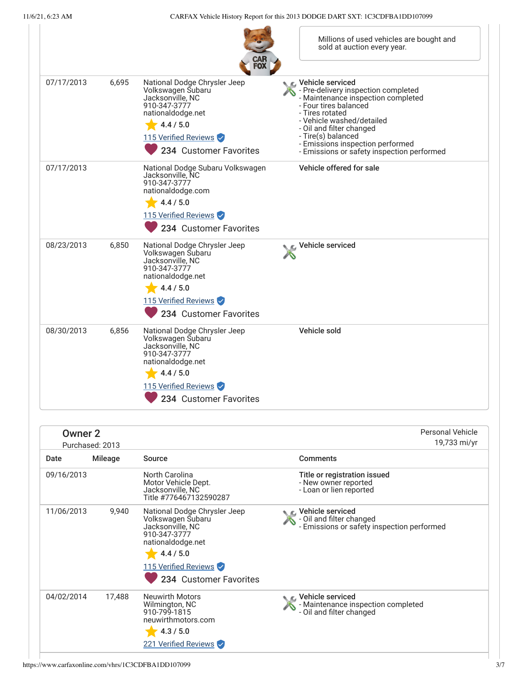|            |       | CAR<br>Fox                                                                                                                                                                | Millions of used vehicles are bought and<br>sold at auction every year.                                                                                                                                                                                                                                    |
|------------|-------|---------------------------------------------------------------------------------------------------------------------------------------------------------------------------|------------------------------------------------------------------------------------------------------------------------------------------------------------------------------------------------------------------------------------------------------------------------------------------------------------|
| 07/17/2013 | 6,695 | National Dodge Chrysler Jeep<br>Volkswagen Subaru<br>Jacksonville, NC<br>910-347-3777<br>nationaldodge.net<br>4.4 / 5.0<br>115 Verified Reviews<br>234 Customer Favorites | Vehicle serviced<br>- Pre-delivery inspection completed<br>- Maintenance inspection completed<br>- Four tires balanced<br>- Tires rotated<br>- Vehicle washed/detailed<br>- Oil and filter changed<br>- Tire(s) balanced<br>- Emissions inspection performed<br>- Emissions or safety inspection performed |
| 07/17/2013 |       | National Dodge Subaru Volkswagen<br>Jacksonville, NC<br>910-347-3777<br>nationaldodge.com<br>4.4 / 5.0<br>115 Verified Reviews<br>234 Customer Favorites                  | Vehicle offered for sale                                                                                                                                                                                                                                                                                   |
| 08/23/2013 | 6,850 | National Dodge Chrysler Jeep<br>Volkswagen Subaru<br>Jacksonville, NC<br>910-347-3777<br>nationaldodge.net<br>4.4 / 5.0<br>115 Verified Reviews<br>234 Customer Favorites | Vehicle serviced                                                                                                                                                                                                                                                                                           |
| 08/30/2013 | 6,856 | National Dodge Chrysler Jeep<br>Volkswagen Subaru<br>Jacksonville, NC<br>910-347-3777<br>nationaldodge.net<br>4.4 / 5.0<br>115 Verified Reviews<br>234 Customer Favorites | Vehicle sold                                                                                                                                                                                                                                                                                               |

|            | Owner 2<br>Purchased: 2013 |                                                                                                                                                                           | Personal Vehicle<br>19,733 mi/yr                                                               |
|------------|----------------------------|---------------------------------------------------------------------------------------------------------------------------------------------------------------------------|------------------------------------------------------------------------------------------------|
| Date       | Mileage                    | Source                                                                                                                                                                    | <b>Comments</b>                                                                                |
| 09/16/2013 |                            | North Carolina<br>Motor Vehicle Dept.<br>Jacksonville, NC<br>Title #776467132590287                                                                                       | Title or registration issued<br>- New owner reported<br>- Loan or lien reported                |
| 11/06/2013 | 9,940                      | National Dodge Chrysler Jeep<br>Volkswagen Subaru<br>Jacksonville, NC<br>910-347-3777<br>nationaldodge.net<br>4.4 / 5.0<br>115 Verified Reviews<br>234 Customer Favorites | ic⊾ Vehicle serviced<br>- Oil and filter changed<br>- Emissions or safety inspection performed |
| 04/02/2014 | 17,488                     | <b>Neuwirth Motors</b><br>Wilmington, NC<br>910-799-1815<br>neuwirthmotors.com<br>4.3 / 5.0<br>221 Verified Reviews                                                       | <i>■</i> Vehicle serviced<br>- Maintenance inspection completed<br>- Oil and filter changed    |

×.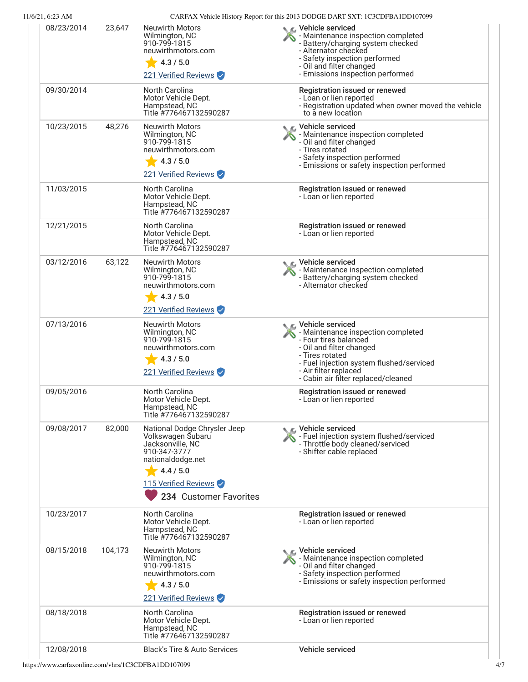| 11/6/21, 6:23 AM |         |                                                                                                                                                                           | CARFAX Vehicle History Report for this 2013 DODGE DART SXT: 1C3CDFBA1DD107099                                                                                                                                                              |
|------------------|---------|---------------------------------------------------------------------------------------------------------------------------------------------------------------------------|--------------------------------------------------------------------------------------------------------------------------------------------------------------------------------------------------------------------------------------------|
| 08/23/2014       | 23,647  | <b>Neuwirth Motors</b><br>Wilmington, NC<br>910-799-1815<br>neuwirthmotors.com<br>4.3 / 5.0<br>221 Verified Reviews                                                       | C Vehicle serviced<br>- Maintenance inspection completed<br>- Battery/charging system checked<br>- Alternator checked<br>- Safety inspection performed<br>- Oil and filter changed<br>- Emissions inspection performed                     |
| 09/30/2014       |         | North Carolina<br>Motor Vehicle Dept.<br>Hampstead, NC<br>Title #776467132590287                                                                                          | Registration issued or renewed<br>- Loan or lien reported<br>- Registration updated when owner moved the vehicle<br>to a new location                                                                                                      |
| 10/23/2015       | 48,276  | <b>Neuwirth Motors</b><br>Wilmington, NC<br>910-799-1815<br>neuwirthmotors.com<br>4.3 / 5.0<br>221 Verified Reviews                                                       | Vehicle serviced<br>- Maintenance inspection completed<br>- Oil and filter changed<br>- Tires rotated<br>- Safety inspection performed<br>- Emissions or safety inspection performed                                                       |
| 11/03/2015       |         | North Carolina<br>Motor Vehicle Dept.<br>Hampstead, NC<br>Title #776467132590287                                                                                          | Registration issued or renewed<br>- Loan or lien reported                                                                                                                                                                                  |
| 12/21/2015       |         | North Carolina<br>Motor Vehicle Dept.<br>Hampstead, NC<br>Title #776467132590287                                                                                          | Registration issued or renewed<br>- Loan or lien reported                                                                                                                                                                                  |
| 03/12/2016       | 63,122  | <b>Neuwirth Motors</b><br>Wilmington, NC<br>910-799-1815<br>neuwirthmotors.com<br>4.3 / 5.0<br>221 Verified Reviews                                                       | C Vehicle serviced<br>- Maintenance inspection completed<br>- Battery/charging system checked<br>- Alternator checked                                                                                                                      |
| 07/13/2016       |         | <b>Neuwirth Motors</b><br>Wilmington, NC<br>910-799-1815<br>neuwirthmotors.com<br>4.3 / 5.0<br>221 Verified Reviews                                                       | Vehicle serviced<br>- Maintenance inspection completed<br>- Four tires balanced<br>- Oil and filter changed<br>- Tires rotated<br>- Fuel injection system flushed/serviced<br>- Air filter replaced<br>- Cabin air filter replaced/cleaned |
| 09/05/2016       |         | North Carolina<br>Motor Vehicle Dept.<br>Hampstead, NC<br>Title #776467132590287                                                                                          | Registration issued or renewed<br>- Loan or lien reported                                                                                                                                                                                  |
| 09/08/2017       | 82,000  | National Dodge Chrysler Jeep<br>Volkswagen Subaru<br>Jacksonville, NC<br>910-347-3777<br>nationaldodge.net<br>4.4 / 5.0<br>115 Verified Reviews<br>234 Customer Favorites | C Vehicle serviced<br>- Fuel injection system flushed/serviced<br>- Throttle body cleaned/serviced<br>- Shifter cable replaced                                                                                                             |
| 10/23/2017       |         | North Carolina<br>Motor Vehicle Dept.<br>Hampstead, NC<br>Title #776467132590287                                                                                          | Registration issued or renewed<br>- Loan or lien reported                                                                                                                                                                                  |
| 08/15/2018       | 104,173 | <b>Neuwirth Motors</b><br>Wilmington, NC<br>910-799-1815<br>neuwirthmotors.com<br>4.3 / 5.0<br>221 Verified Reviews                                                       | Vehicle serviced<br>- Maintenance inspection completed<br>- Oil and filter changed<br>- Safety inspection performed<br>- Emissions or safety inspection performed                                                                          |
| 08/18/2018       |         | North Carolina<br>Motor Vehicle Dept.<br>Hampstead, NC<br>Title #776467132590287                                                                                          | Registration issued or renewed<br>- Loan or lien reported                                                                                                                                                                                  |
| 12/08/2018       |         | <b>Black's Tire &amp; Auto Services</b>                                                                                                                                   | Vehicle serviced                                                                                                                                                                                                                           |

https://www.carfaxonline.com/vhrs/1C3CDFBA1DD107099 4/7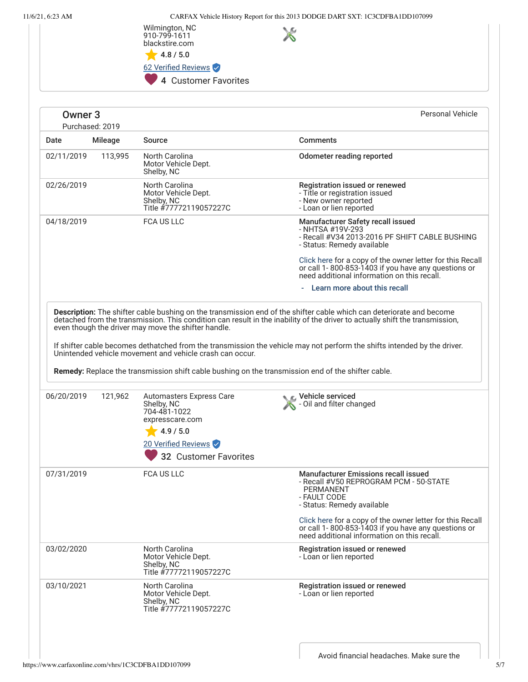11/6/21, 6:23 AM CARFAX Vehicle History Report for this 2013 DODGE DART SXT: 1C3CDFBA1DD107099



<span id="page-4-0"></span>

| Owner <sub>3</sub> | Purchased: 2019 |                                                                                             | <b>Personal Vehicle</b>                                                                                                                                                                                                                            |
|--------------------|-----------------|---------------------------------------------------------------------------------------------|----------------------------------------------------------------------------------------------------------------------------------------------------------------------------------------------------------------------------------------------------|
| Date               | <b>Mileage</b>  | <b>Source</b>                                                                               | <b>Comments</b>                                                                                                                                                                                                                                    |
| 02/11/2019         | 113,995         | North Carolina<br>Motor Vehicle Dept.<br>Shelby, NC                                         | Odometer reading reported                                                                                                                                                                                                                          |
| 02/26/2019         |                 | North Carolina<br>Motor Vehicle Dept.<br>Shelby, NC<br>Title #77772119057227C               | Registration issued or renewed<br>- Title or registration issued<br>- New owner reported<br>- Loan or lien reported                                                                                                                                |
| 04/18/2019         |                 | <b>FCA US LLC</b>                                                                           | Manufacturer Safety recall issued<br>- NHTSA #19V-293<br>- Recall #V34 2013-2016 PF SHIFT CABLE BUSHING<br>- Status: Remedy available                                                                                                              |
|                    |                 |                                                                                             | Click here for a copy of the owner letter for this Recall<br>or call 1-800-853-1403 if you have any questions or<br>need additional information on this recall.                                                                                    |
|                    |                 |                                                                                             | Learn more about this recall                                                                                                                                                                                                                       |
| 06/20/2019         | 121,962         | Unintended vehicle movement and vehicle crash can occur.<br><b>Automasters Express Care</b> | If shifter cable becomes dethatched from the transmission the vehicle may not perform the shifts intended by the driver.<br>Remedy: Replace the transmission shift cable bushing on the transmission end of the shifter cable.<br>Vehicle serviced |
|                    |                 | Shelby, NC<br>704-481-1022<br>expresscare.com<br>4.9 / 5.0                                  | - Oil and filter changed                                                                                                                                                                                                                           |
|                    |                 | 20 Verified Reviews                                                                         |                                                                                                                                                                                                                                                    |
|                    |                 | <b>32 Customer Favorites</b>                                                                |                                                                                                                                                                                                                                                    |
| 07/31/2019         |                 | FCA US LLC                                                                                  | <b>Manufacturer Emissions recall issued</b><br>- Recall #V50 REPROGRAM PCM - 50-STATE<br>PERMANENT<br>- FAULT CODE<br>- Status: Remedy available                                                                                                   |
|                    |                 |                                                                                             | Click here for a copy of the owner letter for this Recall<br>or call 1-800-853-1403 if you have any questions or<br>need additional information on this recall.                                                                                    |
| 03/02/2020         |                 | North Carolina<br>Motor Vehicle Dept.<br>Shelby, NC<br>Title #77772119057227C               | Registration issued or renewed<br>- Loan or lien reported                                                                                                                                                                                          |
| 03/10/2021         |                 | North Carolina<br>Motor Vehicle Dept.<br>Shelby, NC<br>Title #77772119057227C               | Registration issued or renewed<br>- Loan or lien reported                                                                                                                                                                                          |
|                    |                 |                                                                                             |                                                                                                                                                                                                                                                    |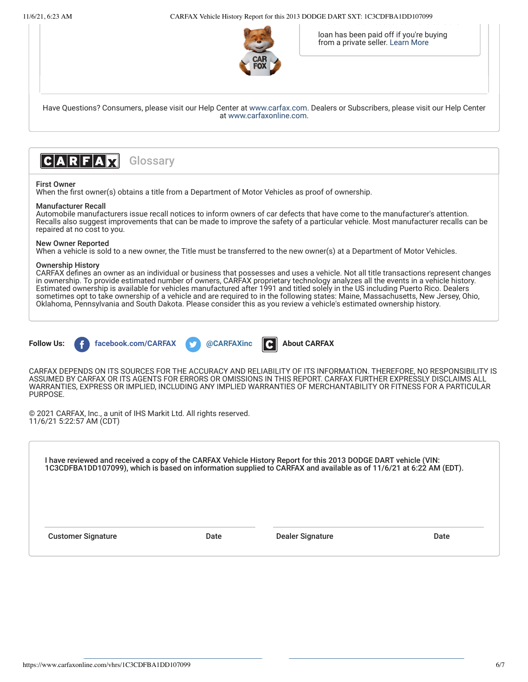11/6/21, 6:23 AM CARFAX Vehicle History Report for this 2013 DODGE DART SXT: 1C3CDFBA1DD107099



loan has been paid off if you're buying from a private seller. [Learn More](https://www.carfaxonline.com/phoenix/glossary.cfx?language=EN#LIEN)

Have Questions? Consumers, please visit our Help Center at [www.carfax.com](http://www.carfax.com/help). Dealers or Subscribers, please visit our Help Center at [www.carfaxonline.com.](http://www.carfaxonline.com/)



### **Glossary**

#### First Owner

When the first owner(s) obtains a title from a Department of Motor Vehicles as proof of ownership.

#### Manufacturer Recall

Automobile manufacturers issue recall notices to inform owners of car defects that have come to the manufacturer's attention. Recalls also suggest improvements that can be made to improve the safety of a particular vehicle. Most manufacturer recalls can be repaired at no cost to you.

#### New Owner Reported

When a vehicle is sold to a new owner, the Title must be transferred to the new owner(s) at a Department of Motor Vehicles.

#### Ownership History

CARFAX defines an owner as an individual or business that possesses and uses a vehicle. Not all title transactions represent changes in ownership. To provide estimated number of owners, CARFAX proprietary technology analyzes all the events in a vehicle history. Estimated ownership is available for vehicles manufactured after 1991 and titled solely in the US including Puerto Rico. Dealers sometimes opt to take ownership of a vehicle and are required to in the following states: Maine, Massachusetts, New Jersey, Ohio, Oklahoma, Pennsylvania and South Dakota. Please consider this as you review a vehicle's estimated ownership history.









CARFAX DEPENDS ON ITS SOURCES FOR THE ACCURACY AND RELIABILITY OF ITS INFORMATION. THEREFORE, NO RESPONSIBILITY IS ASSUMED BY CARFAX OR ITS AGENTS FOR ERRORS OR OMISSIONS IN THIS REPORT. CARFAX FURTHER EXPRESSLY DISCLAIMS ALL WARRANTIES, EXPRESS OR IMPLIED, INCLUDING ANY IMPLIED WARRANTIES OF MERCHANTABILITY OR FITNESS FOR A PARTICULAR PURPOSE.

© 2021 CARFAX, Inc., a unit of IHS Markit Ltd. All rights reserved. 11/6/21 5:22:57 AM (CDT)

I have reviewed and received a copy of the CARFAX Vehicle History Report for this 2013 DODGE DART vehicle (VIN: 1C3CDFBA1DD107099), which is based on information supplied to CARFAX and available as of 11/6/21 at 6:22 AM (EDT).

Customer Signature The Customer Signature Date Dealer Signature Date Date Date